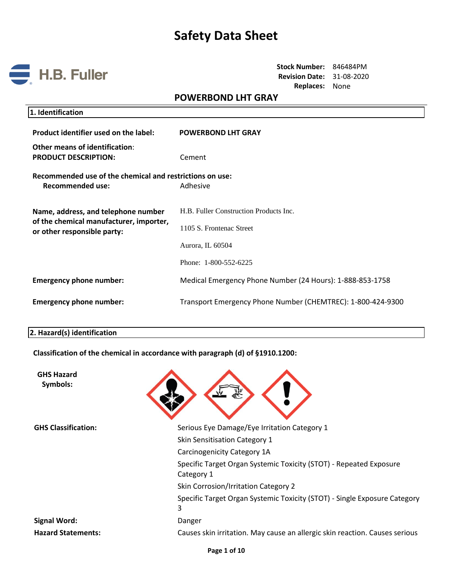

**Stock Number:** 846484PM **Revision Date:** 31-08-2020 **Replaces:** None

## **POWERBOND LHT GRAY**

| 1. Identification                                                                                             |                                                             |
|---------------------------------------------------------------------------------------------------------------|-------------------------------------------------------------|
| Product identifier used on the label:                                                                         | <b>POWERBOND LHT GRAY</b>                                   |
| Other means of identification:<br><b>PRODUCT DESCRIPTION:</b>                                                 | Cement                                                      |
| Recommended use of the chemical and restrictions on use:<br><b>Recommended use:</b>                           | Adhesive                                                    |
| Name, address, and telephone number<br>of the chemical manufacturer, importer,<br>or other responsible party: | H.B. Fuller Construction Products Inc.                      |
|                                                                                                               | 1105 S. Frontenac Street                                    |
|                                                                                                               | Aurora, IL 60504                                            |
|                                                                                                               | Phone: 1-800-552-6225                                       |
| <b>Emergency phone number:</b>                                                                                | Medical Emergency Phone Number (24 Hours): 1-888-853-1758   |
| <b>Emergency phone number:</b>                                                                                | Transport Emergency Phone Number (CHEMTREC): 1-800-424-9300 |

#### **2. Hazard(s) identification**

**Classification of the chemical in accordance with paragraph (d) of §1910.1200:**

| <b>GHS Hazard</b><br>Symbols: |                                                                                  |
|-------------------------------|----------------------------------------------------------------------------------|
| <b>GHS Classification:</b>    | Serious Eye Damage/Eye Irritation Category 1                                     |
|                               | Skin Sensitisation Category 1                                                    |
|                               | Carcinogenicity Category 1A                                                      |
|                               | Specific Target Organ Systemic Toxicity (STOT) - Repeated Exposure<br>Category 1 |
|                               | Skin Corrosion/Irritation Category 2                                             |
|                               | Specific Target Organ Systemic Toxicity (STOT) - Single Exposure Category<br>3   |
| <b>Signal Word:</b>           | Danger                                                                           |
| <b>Hazard Statements:</b>     | Causes skin irritation. May cause an allergic skin reaction. Causes serious      |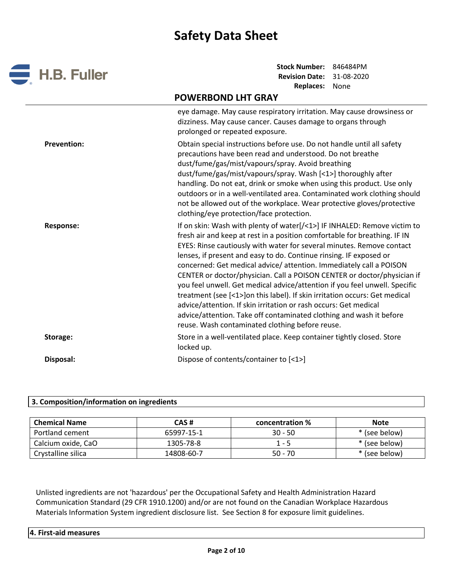

**Stock Number:** 846484PM **Revision Date:** 31-08-2020 **Replaces:** None

## **POWERBOND LHT GRAY**

|                    | eye damage. May cause respiratory irritation. May cause drowsiness or<br>dizziness. May cause cancer. Causes damage to organs through<br>prolonged or repeated exposure.                                                                                                                                                                                                                                                                                                                                                                                                                                                                                                                                                                                                                                         |
|--------------------|------------------------------------------------------------------------------------------------------------------------------------------------------------------------------------------------------------------------------------------------------------------------------------------------------------------------------------------------------------------------------------------------------------------------------------------------------------------------------------------------------------------------------------------------------------------------------------------------------------------------------------------------------------------------------------------------------------------------------------------------------------------------------------------------------------------|
| <b>Prevention:</b> | Obtain special instructions before use. Do not handle until all safety<br>precautions have been read and understood. Do not breathe<br>dust/fume/gas/mist/vapours/spray. Avoid breathing<br>dust/fume/gas/mist/vapours/spray. Wash [<1>] thoroughly after<br>handling. Do not eat, drink or smoke when using this product. Use only<br>outdoors or in a well-ventilated area. Contaminated work clothing should<br>not be allowed out of the workplace. Wear protective gloves/protective<br>clothing/eye protection/face protection.                                                                                                                                                                                                                                                                            |
| <b>Response:</b>   | If on skin: Wash with plenty of water[/<1>] IF INHALED: Remove victim to<br>fresh air and keep at rest in a position comfortable for breathing. IF IN<br>EYES: Rinse cautiously with water for several minutes. Remove contact<br>lenses, if present and easy to do. Continue rinsing. IF exposed or<br>concerned: Get medical advice/ attention. Immediately call a POISON<br>CENTER or doctor/physician. Call a POISON CENTER or doctor/physician if<br>you feel unwell. Get medical advice/attention if you feel unwell. Specific<br>treatment (see [<1>]on this label). If skin irritation occurs: Get medical<br>advice/attention. If skin irritation or rash occurs: Get medical<br>advice/attention. Take off contaminated clothing and wash it before<br>reuse. Wash contaminated clothing before reuse. |
| Storage:           | Store in a well-ventilated place. Keep container tightly closed. Store<br>locked up.                                                                                                                                                                                                                                                                                                                                                                                                                                                                                                                                                                                                                                                                                                                             |
| Disposal:          | Dispose of contents/container to [<1>]                                                                                                                                                                                                                                                                                                                                                                                                                                                                                                                                                                                                                                                                                                                                                                           |

### **3. Composition/information on ingredients**

| <b>Chemical Name</b> | CAS#       | concentration % | <b>Note</b>   |
|----------------------|------------|-----------------|---------------|
| Portland cement      | 65997-15-1 | $30 - 50$       | * (see below) |
| Calcium oxide, CaO   | 1305-78-8  | $1 - 5$         | * (see below) |
| Crystalline silica   | 14808-60-7 | $50 - 70$       | * (see below) |

Unlisted ingredients are not 'hazardous' per the Occupational Safety and Health Administration Hazard Communication Standard (29 CFR 1910.1200) and/or are not found on the Canadian Workplace Hazardous Materials Information System ingredient disclosure list. See Section 8 for exposure limit guidelines.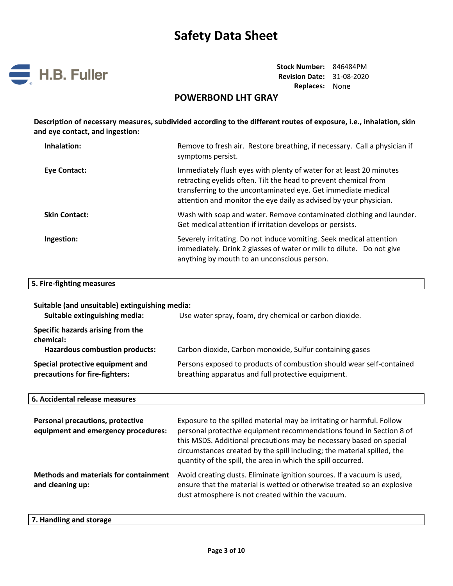

**Stock Number:** 846484PM **Revision Date:** 31-08-2020 **Replaces:** None

### **POWERBOND LHT GRAY**

**Description of necessary measures, subdivided according to the different routes of exposure, i.e., inhalation, skin and eye contact, and ingestion:** 

| Inhalation:          | Remove to fresh air. Restore breathing, if necessary. Call a physician if<br>symptoms persist.                                                                                                                                                                                |
|----------------------|-------------------------------------------------------------------------------------------------------------------------------------------------------------------------------------------------------------------------------------------------------------------------------|
| Eye Contact:         | Immediately flush eyes with plenty of water for at least 20 minutes<br>retracting eyelids often. Tilt the head to prevent chemical from<br>transferring to the uncontaminated eye. Get immediate medical<br>attention and monitor the eye daily as advised by your physician. |
| <b>Skin Contact:</b> | Wash with soap and water. Remove contaminated clothing and launder.<br>Get medical attention if irritation develops or persists.                                                                                                                                              |
| Ingestion:           | Severely irritating. Do not induce vomiting. Seek medical attention<br>immediately. Drink 2 glasses of water or milk to dilute. Do not give<br>anything by mouth to an unconscious person.                                                                                    |

#### **5. Fire-fighting measures**

| Suitable (and unsuitable) extinguishing media:<br>Suitable extinguishing media:         | Use water spray, foam, dry chemical or carbon dioxide.                                                                     |
|-----------------------------------------------------------------------------------------|----------------------------------------------------------------------------------------------------------------------------|
| Specific hazards arising from the<br>chemical:<br><b>Hazardous combustion products:</b> | Carbon dioxide, Carbon monoxide, Sulfur containing gases                                                                   |
| Special protective equipment and<br>precautions for fire-fighters:                      | Persons exposed to products of combustion should wear self-contained<br>breathing apparatus and full protective equipment. |

#### **6. Accidental release measures**

| Personal precautions, protective<br>equipment and emergency procedures: | Exposure to the spilled material may be irritating or harmful. Follow<br>personal protective equipment recommendations found in Section 8 of<br>this MSDS. Additional precautions may be necessary based on special<br>circumstances created by the spill including; the material spilled, the<br>quantity of the spill, the area in which the spill occurred. |
|-------------------------------------------------------------------------|----------------------------------------------------------------------------------------------------------------------------------------------------------------------------------------------------------------------------------------------------------------------------------------------------------------------------------------------------------------|
| Methods and materials for containment<br>and cleaning up:               | Avoid creating dusts. Eliminate ignition sources. If a vacuum is used,<br>ensure that the material is wetted or otherwise treated so an explosive<br>dust atmosphere is not created within the vacuum.                                                                                                                                                         |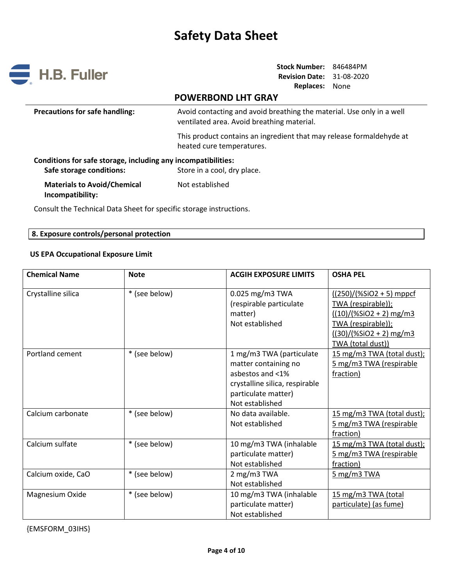

**Stock Number:** 846484PM **Revision Date:** 31-08-2020 **Replaces:** None

## **POWERBOND LHT GRAY**

| <b>Precautions for safe handling:</b> | Avoid contacting and avoid breathing the material. Use only in a well |  |
|---------------------------------------|-----------------------------------------------------------------------|--|
|                                       | ventilated area. Avoid breathing material.                            |  |

This product contains an ingredient that may release formaldehyde at heated cure temperatures.

| Conditions for safe storage, including any incompatibilities: |
|---------------------------------------------------------------|
| Store in a cool, dry place.                                   |
| Not established                                               |
|                                                               |

Consult the Technical Data Sheet for specific storage instructions.

### **8. Exposure controls/personal protection**

#### **US EPA Occupational Exposure Limit**

| <b>Chemical Name</b> | <b>Note</b>   | <b>ACGIH EXPOSURE LIMITS</b>                                                                                                                     | <b>OSHA PEL</b>                                                                                                                                       |
|----------------------|---------------|--------------------------------------------------------------------------------------------------------------------------------------------------|-------------------------------------------------------------------------------------------------------------------------------------------------------|
| Crystalline silica   | * (see below) | 0.025 mg/m3 TWA<br>(respirable particulate<br>matter)<br>Not established                                                                         | $((250)/(%SiO2 + 5)$ mppcf<br>TWA (respirable));<br>$((10)/(%SiO2 + 2)$ mg/m3<br>TWA (respirable));<br>$((30)/(%SiO2 + 2)$ mg/m3<br>TWA (total dust)) |
| Portland cement      | * (see below) | 1 mg/m3 TWA (particulate<br>matter containing no<br>asbestos and <1%<br>crystalline silica, respirable<br>particulate matter)<br>Not established | 15 mg/m3 TWA (total dust);<br>5 mg/m3 TWA (respirable<br>fraction)                                                                                    |
| Calcium carbonate    | * (see below) | No data available.<br>Not established                                                                                                            | 15 mg/m3 TWA (total dust);<br>5 mg/m3 TWA (respirable<br>fraction)                                                                                    |
| Calcium sulfate      | * (see below) | 10 mg/m3 TWA (inhalable<br>particulate matter)<br>Not established                                                                                | 15 mg/m3 TWA (total dust);<br>5 mg/m3 TWA (respirable<br>fraction)                                                                                    |
| Calcium oxide, CaO   | * (see below) | 2 mg/m3 TWA<br>Not established                                                                                                                   | 5 mg/m3 TWA                                                                                                                                           |
| Magnesium Oxide      | * (see below) | 10 mg/m3 TWA (inhalable<br>particulate matter)<br>Not established                                                                                | 15 mg/m3 TWA (total<br>particulate) (as fume)                                                                                                         |

{EMSFORM\_03IHS}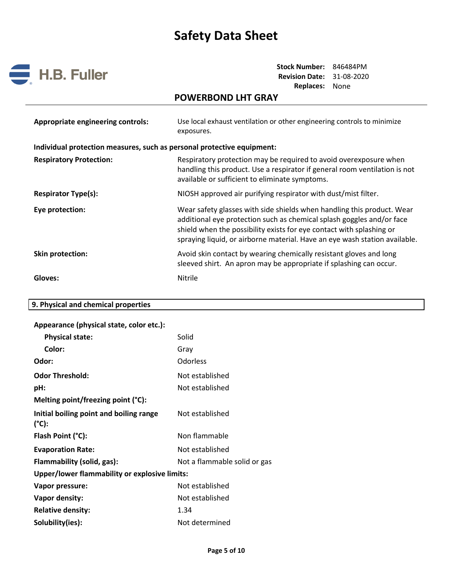

**Stock Number:** 846484PM **Revision Date:** 31-08-2020 **Replaces:** None

## **POWERBOND LHT GRAY**

| <b>Appropriate engineering controls:</b> | Use local exhaust ventilation or other engineering controls to minimize<br>exposures.                                                                                                                                                                                                                 |  |  |
|------------------------------------------|-------------------------------------------------------------------------------------------------------------------------------------------------------------------------------------------------------------------------------------------------------------------------------------------------------|--|--|
|                                          | Individual protection measures, such as personal protective equipment:                                                                                                                                                                                                                                |  |  |
| <b>Respiratory Protection:</b>           | Respiratory protection may be required to avoid overexposure when<br>handling this product. Use a respirator if general room ventilation is not<br>available or sufficient to eliminate symptoms.                                                                                                     |  |  |
| <b>Respirator Type(s):</b>               | NIOSH approved air purifying respirator with dust/mist filter.                                                                                                                                                                                                                                        |  |  |
| Eye protection:                          | Wear safety glasses with side shields when handling this product. Wear<br>additional eye protection such as chemical splash goggles and/or face<br>shield when the possibility exists for eye contact with splashing or<br>spraying liquid, or airborne material. Have an eye wash station available. |  |  |
| <b>Skin protection:</b>                  | Avoid skin contact by wearing chemically resistant gloves and long<br>sleeved shirt. An apron may be appropriate if splashing can occur.                                                                                                                                                              |  |  |
| Gloves:                                  | <b>Nitrile</b>                                                                                                                                                                                                                                                                                        |  |  |

### **9. Physical and chemical properties**

| Appearance (physical state, color etc.):                   |                              |
|------------------------------------------------------------|------------------------------|
| <b>Physical state:</b>                                     | Solid                        |
| Color:                                                     | Gray                         |
| Odor:                                                      | <b>Odorless</b>              |
| <b>Odor Threshold:</b>                                     | Not established              |
| pH:                                                        | Not established              |
| Melting point/freezing point (°C):                         |                              |
| Initial boiling point and boiling range<br>$(^{\circ}C)$ : | Not established              |
| Flash Point (°C):                                          | Non flammable                |
| <b>Evaporation Rate:</b>                                   | Not established              |
| Flammability (solid, gas):                                 | Not a flammable solid or gas |
| Upper/lower flammability or explosive limits:              |                              |
| Vapor pressure:                                            | Not established              |
| <b>Vapor density:</b>                                      | Not established              |
| <b>Relative density:</b>                                   | 1.34                         |
| Solubility(ies):                                           | Not determined               |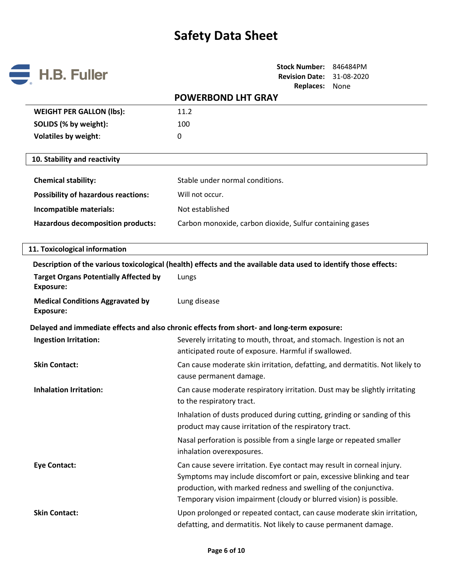

**Stock Number:** 846484PM **Revision Date:** 31-08-2020 **Replaces:** None

|                                                                  | <b>POWERBOND LHT GRAY</b>                                                                                                                                                                                                                                                                 |
|------------------------------------------------------------------|-------------------------------------------------------------------------------------------------------------------------------------------------------------------------------------------------------------------------------------------------------------------------------------------|
| <b>WEIGHT PER GALLON (lbs):</b>                                  | 11.2                                                                                                                                                                                                                                                                                      |
| SOLIDS (% by weight):                                            | 100                                                                                                                                                                                                                                                                                       |
| <b>Volatiles by weight:</b>                                      | 0                                                                                                                                                                                                                                                                                         |
| 10. Stability and reactivity                                     |                                                                                                                                                                                                                                                                                           |
| <b>Chemical stability:</b>                                       | Stable under normal conditions.                                                                                                                                                                                                                                                           |
| <b>Possibility of hazardous reactions:</b>                       | Will not occur.                                                                                                                                                                                                                                                                           |
| Incompatible materials:                                          | Not established                                                                                                                                                                                                                                                                           |
| <b>Hazardous decomposition products:</b>                         | Carbon monoxide, carbon dioxide, Sulfur containing gases                                                                                                                                                                                                                                  |
| 11. Toxicological information                                    |                                                                                                                                                                                                                                                                                           |
|                                                                  | Description of the various toxicological (health) effects and the available data used to identify those effects:                                                                                                                                                                          |
| <b>Target Organs Potentially Affected by</b><br><b>Exposure:</b> | Lungs                                                                                                                                                                                                                                                                                     |
| <b>Medical Conditions Aggravated by</b><br><b>Exposure:</b>      | Lung disease                                                                                                                                                                                                                                                                              |
|                                                                  | Delayed and immediate effects and also chronic effects from short- and long-term exposure:                                                                                                                                                                                                |
| <b>Ingestion Irritation:</b>                                     | Severely irritating to mouth, throat, and stomach. Ingestion is not an<br>anticipated route of exposure. Harmful if swallowed.                                                                                                                                                            |
| <b>Skin Contact:</b>                                             | Can cause moderate skin irritation, defatting, and dermatitis. Not likely to<br>cause permanent damage.                                                                                                                                                                                   |
| <b>Inhalation Irritation:</b>                                    | Can cause moderate respiratory irritation. Dust may be slightly irritating<br>to the respiratory tract.                                                                                                                                                                                   |
|                                                                  | Inhalation of dusts produced during cutting, grinding or sanding of this<br>product may cause irritation of the respiratory tract.                                                                                                                                                        |
|                                                                  | Nasal perforation is possible from a single large or repeated smaller<br>inhalation overexposures.                                                                                                                                                                                        |
| <b>Eye Contact:</b>                                              | Can cause severe irritation. Eye contact may result in corneal injury.<br>Symptoms may include discomfort or pain, excessive blinking and tear<br>production, with marked redness and swelling of the conjunctiva.<br>Temporary vision impairment (cloudy or blurred vision) is possible. |
| <b>Skin Contact:</b>                                             | Upon prolonged or repeated contact, can cause moderate skin irritation,                                                                                                                                                                                                                   |

defatting, and dermatitis. Not likely to cause permanent damage.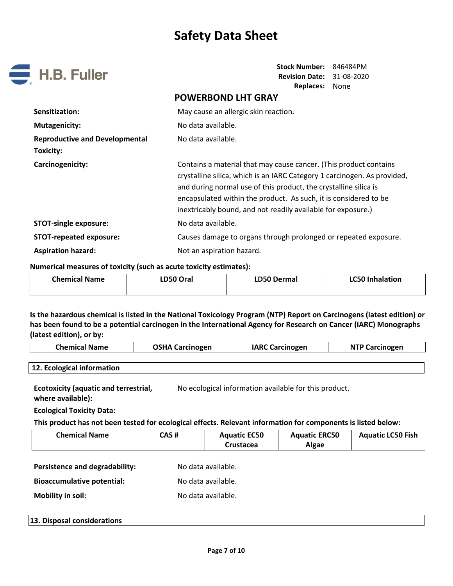

**Stock Number:** 846484PM **Revision Date:** 31-08-2020 **Replaces:** None

# **POWERBOND LHT GRAY**

| Sensitization:                                     | May cause an allergic skin reaction.                                                                                                                                                                                                                                                                                                                  |
|----------------------------------------------------|-------------------------------------------------------------------------------------------------------------------------------------------------------------------------------------------------------------------------------------------------------------------------------------------------------------------------------------------------------|
| <b>Mutagenicity:</b>                               | No data available.                                                                                                                                                                                                                                                                                                                                    |
| <b>Reproductive and Developmental</b><br>Toxicity: | No data available.                                                                                                                                                                                                                                                                                                                                    |
| Carcinogenicity:                                   | Contains a material that may cause cancer. (This product contains<br>crystalline silica, which is an IARC Category 1 carcinogen. As provided,<br>and during normal use of this product, the crystalline silica is<br>encapsulated within the product. As such, it is considered to be<br>inextricably bound, and not readily available for exposure.) |
| <b>STOT-single exposure:</b>                       | No data available.                                                                                                                                                                                                                                                                                                                                    |
| <b>STOT-repeated exposure:</b>                     | Causes damage to organs through prolonged or repeated exposure.                                                                                                                                                                                                                                                                                       |
| <b>Aspiration hazard:</b>                          | Not an aspiration hazard.                                                                                                                                                                                                                                                                                                                             |

**Numerical measures of toxicity (such as acute toxicity estimates):**

| <b>Chemical Name</b> | <b>LD50 Oral</b> | <b>LD50 Dermal</b> | <b>LC50 Inhalation</b> |
|----------------------|------------------|--------------------|------------------------|
|                      |                  |                    |                        |

**Is the hazardous chemical is listed in the National Toxicology Program (NTP) Report on Carcinogens (latest edition) or has been found to be a potential carcinogen in the International Agency for Research on Cancer (IARC) Monographs (latest edition), or by:**

| <b>Chemical Name</b> | <b>OSHA Carcinogen</b> | <b>IARC Carcinogen</b> | <b>NTP Carcinogen</b> |  |
|----------------------|------------------------|------------------------|-----------------------|--|
|                      |                        |                        |                       |  |

**12. Ecological information**

**Ecotoxicity (aquatic and terrestrial,**  No ecological information available for this product. **where available):**

**Ecological Toxicity Data:** 

**This product has not been tested for ecological effects. Relevant information for components is listed below:**

| <b>Chemical Name</b> | CAS # | <b>Aquatic EC50</b> | <b>Aquatic ERC50</b> | <b>Aquatic LC50 Fish</b> |
|----------------------|-------|---------------------|----------------------|--------------------------|
|                      |       | Crustacea           | Algae                |                          |

| <b>Persistence and degradability:</b> | No data available. |
|---------------------------------------|--------------------|
| <b>Bioaccumulative potential:</b>     | No data available. |
|                                       |                    |

| Mobility in soil: | No data available. |
|-------------------|--------------------|
|                   |                    |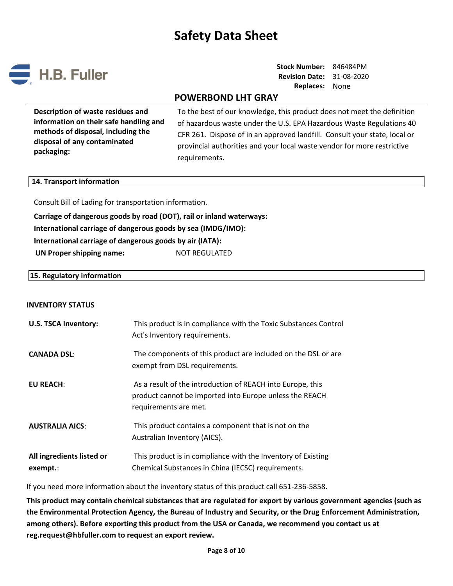

**Stock Number:** 846484PM **Revision Date:** 31-08-2020 **Replaces:** None

## **POWERBOND LHT GRAY**

**Description of waste residues and information on their safe handling and methods of disposal, including the disposal of any contaminated packaging:** 

To the best of our knowledge, this product does not meet the definition of hazardous waste under the U.S. EPA Hazardous Waste Regulations 40 CFR 261. Dispose of in an approved landfill. Consult your state, local or provincial authorities and your local waste vendor for more restrictive requirements.

### **14. Transport information**

Consult Bill of Lading for transportation information.

**Carriage of dangerous goods by road (DOT), rail or inland waterways: International carriage of dangerous goods by sea (IMDG/IMO): International carriage of dangerous goods by air (IATA): UN Proper shipping name:** NOT REGULATED

#### **15. Regulatory information**

### **INVENTORY STATUS**

| U.S. TSCA Inventory:                  | This product is in compliance with the Toxic Substances Control<br>Act's Inventory requirements.                                               |
|---------------------------------------|------------------------------------------------------------------------------------------------------------------------------------------------|
| <b>CANADA DSL:</b>                    | The components of this product are included on the DSL or are<br>exempt from DSL requirements.                                                 |
| <b>EU REACH:</b>                      | As a result of the introduction of REACH into Europe, this<br>product cannot be imported into Europe unless the REACH<br>requirements are met. |
| <b>AUSTRALIA AICS:</b>                | This product contains a component that is not on the<br>Australian Inventory (AICS).                                                           |
| All ingredients listed or<br>exempt.: | This product is in compliance with the Inventory of Existing<br>Chemical Substances in China (IECSC) requirements.                             |

If you need more information about the inventory status of this product call 651-236-5858.

**This product may contain chemical substances that are regulated for export by various government agencies (such as the Environmental Protection Agency, the Bureau of Industry and Security, or the Drug Enforcement Administration, among others). Before exporting this product from the USA or Canada, we recommend you contact us at reg.request@hbfuller.com to request an export review.**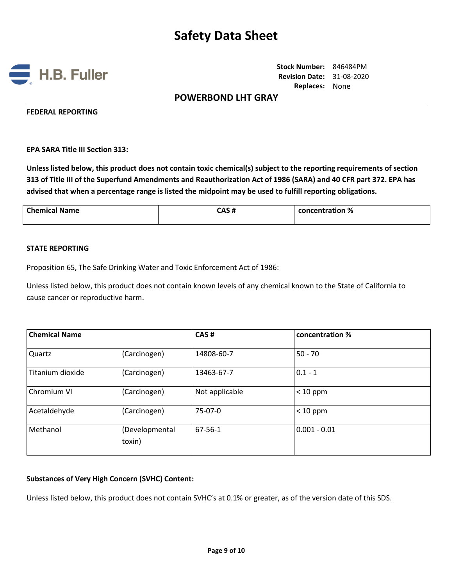

**Stock Number:** 846484PM **Revision Date:** 31-08-2020 **Replaces:** None

### **POWERBOND LHT GRAY**

#### **FEDERAL REPORTING**

**EPA SARA Title III Section 313:**

**Unless listed below, this product does not contain toxic chemical(s) subject to the reporting requirements of section 313 of Title III of the Superfund Amendments and Reauthorization Act of 1986 (SARA) and 40 CFR part 372. EPA has advised that when a percentage range is listed the midpoint may be used to fulfill reporting obligations.**

| <b>Chemical Name</b> | CAS# | concentration % |
|----------------------|------|-----------------|
|                      |      |                 |

#### **STATE REPORTING**

Proposition 65, The Safe Drinking Water and Toxic Enforcement Act of 1986:

Unless listed below, this product does not contain known levels of any chemical known to the State of California to cause cancer or reproductive harm.

| <b>Chemical Name</b> |                          | CAS#           | concentration % |  |
|----------------------|--------------------------|----------------|-----------------|--|
| Quartz               | (Carcinogen)             | 14808-60-7     | $50 - 70$       |  |
| Titanium dioxide     | (Carcinogen)             | 13463-67-7     | $0.1 - 1$       |  |
| Chromium VI          | (Carcinogen)             | Not applicable | $< 10$ ppm      |  |
| Acetaldehyde         | (Carcinogen)             | 75-07-0        | $< 10$ ppm      |  |
| Methanol             | (Developmental<br>toxin) | 67-56-1        | $0.001 - 0.01$  |  |

#### **Substances of Very High Concern (SVHC) Content:**

Unless listed below, this product does not contain SVHC's at 0.1% or greater, as of the version date of this SDS.